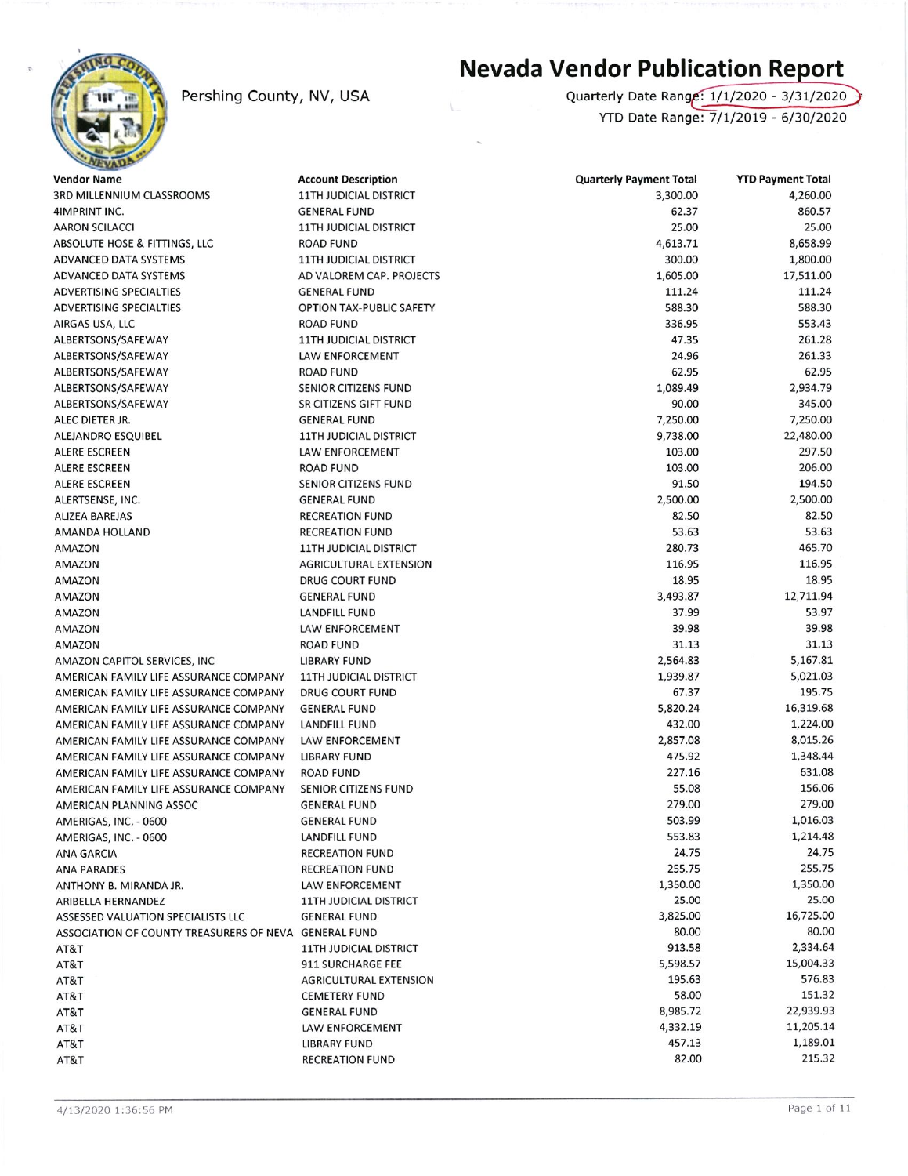

## Pershing County, NV, USA

## Nevada Vendor Publication Report

Quarterly Date Range: 1/1/2020 - 3/31/2020 YTD Date Range: 7/1/2019 - 6/30/2020

| <b>Vendor Name</b>                                                                          | <b>Account Description</b>             | <b>Quarterly Payment Total</b> | <b>YTD Payment Total</b> |
|---------------------------------------------------------------------------------------------|----------------------------------------|--------------------------------|--------------------------|
| <b>3RD MILLENNIUM CLASSROOMS</b>                                                            | <b>11TH JUDICIAL DISTRICT</b>          | 3,300.00                       | 4,260.00                 |
| 4IMPRINT INC.                                                                               | <b>GENERAL FUND</b>                    | 62.37                          | 860.57                   |
| <b>AARON SCILACCI</b>                                                                       | <b>11TH JUDICIAL DISTRICT</b>          | 25.00                          | 25.00                    |
| ABSOLUTE HOSE & FITTINGS, LLC                                                               | <b>ROAD FUND</b>                       | 4,613.71                       | 8,658.99                 |
| ADVANCED DATA SYSTEMS                                                                       | <b>11TH JUDICIAL DISTRICT</b>          | 300.00                         | 1,800.00                 |
| ADVANCED DATA SYSTEMS                                                                       | AD VALOREM CAP. PROJECTS               | 1,605.00                       | 17,511.00                |
| <b>ADVERTISING SPECIALTIES</b>                                                              | <b>GENERAL FUND</b>                    | 111.24                         | 111.24                   |
| <b>ADVERTISING SPECIALTIES</b>                                                              | OPTION TAX-PUBLIC SAFETY               | 588.30                         | 588.30                   |
| AIRGAS USA, LLC                                                                             | <b>ROAD FUND</b>                       | 336.95                         | 553.43                   |
| ALBERTSONS/SAFEWAY                                                                          | <b>11TH JUDICIAL DISTRICT</b>          | 47.35                          | 261.28                   |
| ALBERTSONS/SAFEWAY                                                                          | LAW ENFORCEMENT                        | 24.96                          | 261.33                   |
| ALBERTSONS/SAFEWAY                                                                          | <b>ROAD FUND</b>                       | 62.95                          | 62.95                    |
| ALBERTSONS/SAFEWAY                                                                          | <b>SENIOR CITIZENS FUND</b>            | 1,089.49                       | 2,934.79                 |
| ALBERTSONS/SAFEWAY                                                                          | SR CITIZENS GIFT FUND                  | 90.00                          | 345.00                   |
| ALEC DIETER JR.                                                                             | <b>GENERAL FUND</b>                    | 7,250.00                       | 7,250.00                 |
| ALEJANDRO ESQUIBEL                                                                          | <b>11TH JUDICIAL DISTRICT</b>          | 9,738.00                       | 22,480.00                |
| ALERE ESCREEN                                                                               | LAW ENFORCEMENT                        | 103.00                         | 297.50                   |
| ALERE ESCREEN                                                                               | <b>ROAD FUND</b>                       | 103.00                         | 206.00                   |
| ALERE ESCREEN                                                                               | SENIOR CITIZENS FUND                   | 91.50                          | 194.50                   |
| ALERTSENSE, INC.                                                                            | <b>GENERAL FUND</b>                    | 2,500.00                       | 2,500.00                 |
| <b>ALIZEA BAREJAS</b>                                                                       | <b>RECREATION FUND</b>                 | 82.50                          | 82.50                    |
| <b>AMANDA HOLLAND</b>                                                                       | <b>RECREATION FUND</b>                 | 53.63                          | 53.63                    |
| AMAZON                                                                                      | <b>11TH JUDICIAL DISTRICT</b>          | 280.73                         | 465.70                   |
| AMAZON                                                                                      | <b>AGRICULTURAL EXTENSION</b>          | 116.95                         | 116.95                   |
| AMAZON                                                                                      | <b>DRUG COURT FUND</b>                 | 18.95                          | 18.95                    |
| AMAZON                                                                                      | <b>GENERAL FUND</b>                    | 3,493.87                       | 12,711.94                |
| AMAZON                                                                                      | LANDFILL FUND                          | 37.99                          | 53.97                    |
| AMAZON                                                                                      | LAW ENFORCEMENT                        | 39.98                          | 39.98                    |
| AMAZON                                                                                      | <b>ROAD FUND</b>                       | 31.13                          | 31.13                    |
| AMAZON CAPITOL SERVICES, INC                                                                | <b>LIBRARY FUND</b>                    | 2,564.83                       | 5,167.81                 |
| AMERICAN FAMILY LIFE ASSURANCE COMPANY                                                      | <b>11TH JUDICIAL DISTRICT</b>          | 1,939.87                       | 5,021.03                 |
| AMERICAN FAMILY LIFE ASSURANCE COMPANY                                                      | <b>DRUG COURT FUND</b>                 | 67.37                          | 195.75                   |
| AMERICAN FAMILY LIFE ASSURANCE COMPANY                                                      | <b>GENERAL FUND</b>                    | 5,820.24                       | 16,319.68                |
| AMERICAN FAMILY LIFE ASSURANCE COMPANY                                                      | <b>LANDFILL FUND</b>                   | 432.00                         | 1,224.00                 |
| AMERICAN FAMILY LIFE ASSURANCE COMPANY                                                      | LAW ENFORCEMENT                        | 2,857.08                       | 8,015.26                 |
| AMERICAN FAMILY LIFE ASSURANCE COMPANY                                                      | <b>LIBRARY FUND</b>                    | 475.92                         | 1,348.44                 |
| AMERICAN FAMILY LIFE ASSURANCE COMPANY                                                      | <b>ROAD FUND</b>                       | 227.16                         | 631.08                   |
| AMERICAN FAMILY LIFE ASSURANCE COMPANY                                                      | <b>SENIOR CITIZENS FUND</b>            | 55.08                          | 156.06                   |
| AMERICAN PLANNING ASSOC                                                                     | <b>GENERAL FUND</b>                    | 279.00                         | 279.00                   |
| AMERIGAS, INC. - 0600                                                                       | <b>GENERAL FUND</b>                    | 503.99                         | 1,016.03                 |
| AMERIGAS, INC. - 0600                                                                       | LANDFILL FUND                          | 553.83                         | 1,214.48                 |
| <b>ANA GARCIA</b>                                                                           | <b>RECREATION FUND</b>                 | 24.75                          | 24.75                    |
|                                                                                             | <b>RECREATION FUND</b>                 | 255.75                         | 255.75                   |
| <b>ANA PARADES</b>                                                                          | <b>LAW ENFORCEMENT</b>                 | 1,350.00                       | 1,350.00                 |
| ANTHONY B. MIRANDA JR.                                                                      |                                        | 25.00                          | 25.00                    |
| ARIBELLA HERNANDEZ                                                                          | <b>11TH JUDICIAL DISTRICT</b>          | 3,825.00                       | 16,725.00                |
| ASSESSED VALUATION SPECIALISTS LLC<br>ASSOCIATION OF COUNTY TREASURERS OF NEVA GENERAL FUND | <b>GENERAL FUND</b>                    | 80.00                          | 80.00                    |
|                                                                                             |                                        | 913.58                         | 2,334.64                 |
| AT&T                                                                                        | <b>11TH JUDICIAL DISTRICT</b>          | 5,598.57                       | 15,004.33                |
| AT&T                                                                                        | 911 SURCHARGE FEE                      | 195.63                         | 576.83                   |
| AT&T                                                                                        | <b>AGRICULTURAL EXTENSION</b>          | 58.00                          | 151.32                   |
| AT&T                                                                                        | <b>CEMETERY FUND</b>                   | 8,985.72                       | 22,939.93                |
| AT&T                                                                                        | <b>GENERAL FUND</b><br>LAW ENFORCEMENT | 4,332.19                       | 11,205.14                |
| AT&T                                                                                        |                                        | 457.13                         | 1,189.01                 |
| AT&T                                                                                        | <b>LIBRARY FUND</b>                    | 82.00                          | 215.32                   |
| AT&T                                                                                        | <b>RECREATION FUND</b>                 |                                |                          |